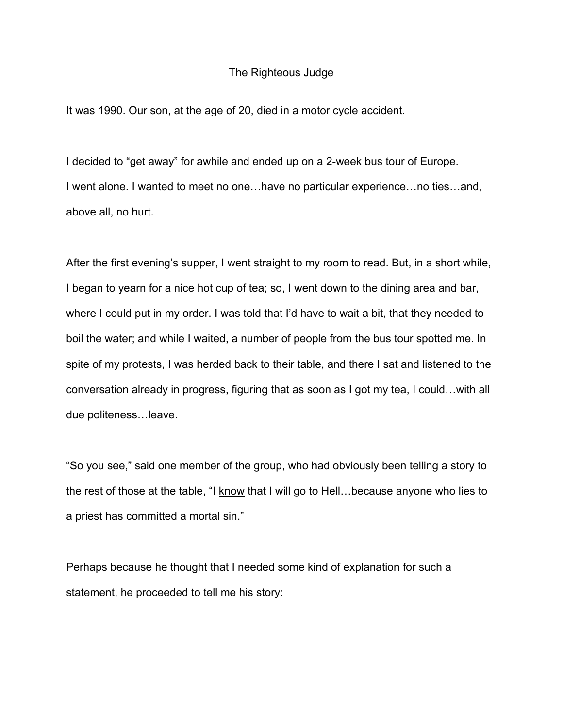## The Righteous Judge

It was 1990. Our son, at the age of 20, died in a motor cycle accident.

I decided to "get away" for awhile and ended up on a 2-week bus tour of Europe. I went alone. I wanted to meet no one…have no particular experience…no ties…and, above all, no hurt.

After the first evening's supper, I went straight to my room to read. But, in a short while, I began to yearn for a nice hot cup of tea; so, I went down to the dining area and bar, where I could put in my order. I was told that I'd have to wait a bit, that they needed to boil the water; and while I waited, a number of people from the bus tour spotted me. In spite of my protests, I was herded back to their table, and there I sat and listened to the conversation already in progress, figuring that as soon as I got my tea, I could…with all due politeness…leave.

"So you see," said one member of the group, who had obviously been telling a story to the rest of those at the table, "I know that I will go to Hell…because anyone who lies to a priest has committed a mortal sin."

Perhaps because he thought that I needed some kind of explanation for such a statement, he proceeded to tell me his story: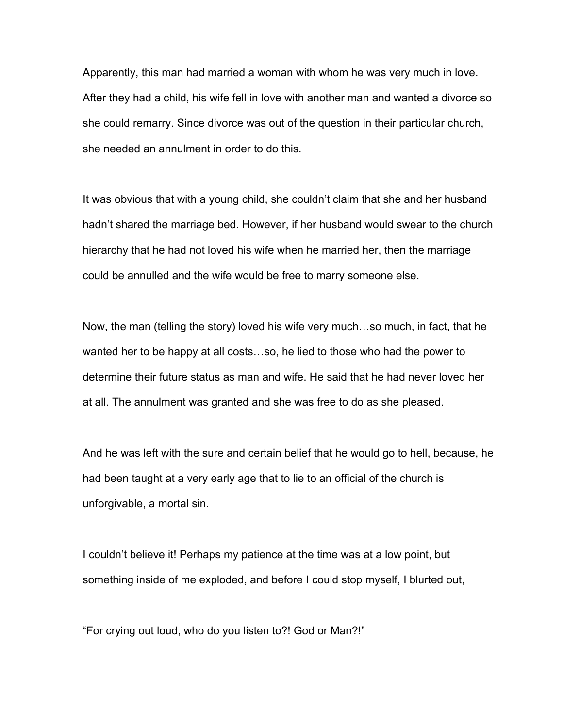Apparently, this man had married a woman with whom he was very much in love. After they had a child, his wife fell in love with another man and wanted a divorce so she could remarry. Since divorce was out of the question in their particular church, she needed an annulment in order to do this.

It was obvious that with a young child, she couldn't claim that she and her husband hadn't shared the marriage bed. However, if her husband would swear to the church hierarchy that he had not loved his wife when he married her, then the marriage could be annulled and the wife would be free to marry someone else.

Now, the man (telling the story) loved his wife very much…so much, in fact, that he wanted her to be happy at all costs…so, he lied to those who had the power to determine their future status as man and wife. He said that he had never loved her at all. The annulment was granted and she was free to do as she pleased.

And he was left with the sure and certain belief that he would go to hell, because, he had been taught at a very early age that to lie to an official of the church is unforgivable, a mortal sin.

I couldn't believe it! Perhaps my patience at the time was at a low point, but something inside of me exploded, and before I could stop myself, I blurted out,

"For crying out loud, who do you listen to?! God or Man?!"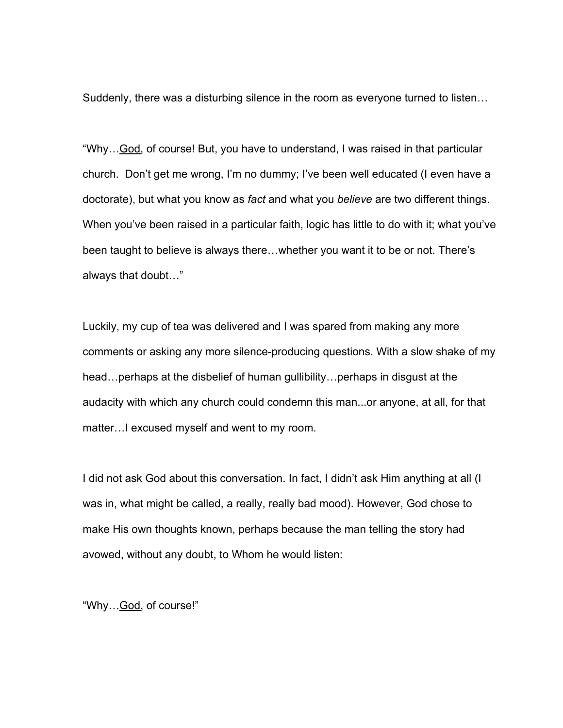Suddenly, there was a disturbing silence in the room as everyone turned to listen…

"Why…God, of course! But, you have to understand, I was raised in that particular church. Don't get me wrong, I'm no dummy; I've been well educated (I even have a doctorate), but what you know as *fact* and what you *believe* are two different things. When you've been raised in a particular faith, logic has little to do with it; what you've been taught to believe is always there…whether you want it to be or not. There's always that doubt…"

Luckily, my cup of tea was delivered and I was spared from making any more comments or asking any more silence-producing questions. With a slow shake of my head…perhaps at the disbelief of human gullibility…perhaps in disgust at the audacity with which any church could condemn this man...or anyone, at all, for that matter…I excused myself and went to my room.

I did not ask God about this conversation. In fact, I didn't ask Him anything at all (I was in, what might be called, a really, really bad mood). However, God chose to make His own thoughts known, perhaps because the man telling the story had avowed, without any doubt, to Whom he would listen:

"Why... God, of course!"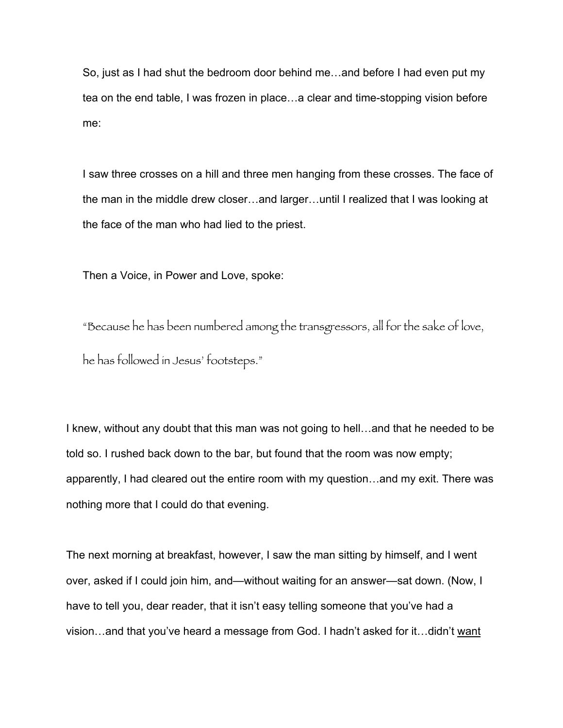So, just as I had shut the bedroom door behind me…and before I had even put my tea on the end table, I was frozen in place…a clear and time-stopping vision before me:

I saw three crosses on a hill and three men hanging from these crosses. The face of the man in the middle drew closer…and larger…until I realized that I was looking at the face of the man who had lied to the priest.

Then a Voice, in Power and Love, spoke:

"Because he has been numbered among the transgressors, all for the sake of love, he has followed in Jesus' footsteps."

I knew, without any doubt that this man was not going to hell…and that he needed to be told so. I rushed back down to the bar, but found that the room was now empty; apparently, I had cleared out the entire room with my question…and my exit. There was nothing more that I could do that evening.

The next morning at breakfast, however, I saw the man sitting by himself, and I went over, asked if I could join him, and—without waiting for an answer—sat down. (Now, I have to tell you, dear reader, that it isn't easy telling someone that you've had a vision…and that you've heard a message from God. I hadn't asked for it…didn't want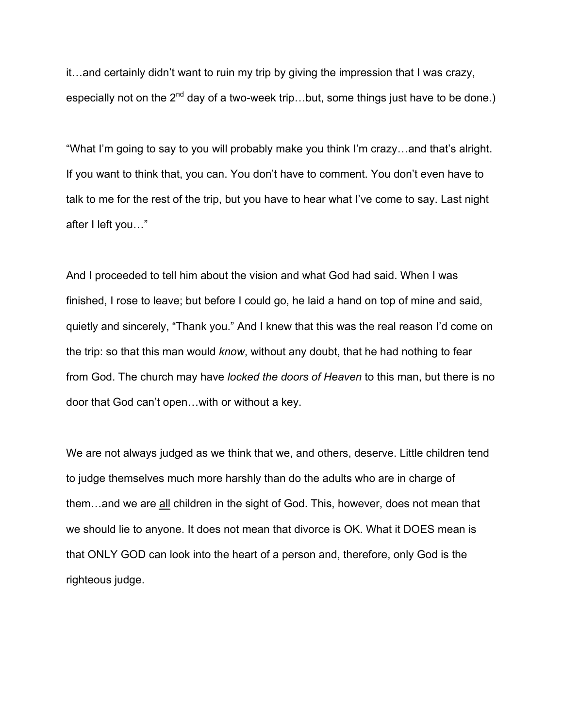it…and certainly didn't want to ruin my trip by giving the impression that I was crazy, especially not on the  $2^{nd}$  day of a two-week trip...but, some things just have to be done.)

"What I'm going to say to you will probably make you think I'm crazy…and that's alright. If you want to think that, you can. You don't have to comment. You don't even have to talk to me for the rest of the trip, but you have to hear what I've come to say. Last night after I left you…"

And I proceeded to tell him about the vision and what God had said. When I was finished, I rose to leave; but before I could go, he laid a hand on top of mine and said, quietly and sincerely, "Thank you." And I knew that this was the real reason I'd come on the trip: so that this man would *know*, without any doubt, that he had nothing to fear from God. The church may have *locked the doors of Heaven* to this man, but there is no door that God can't open…with or without a key.

We are not always judged as we think that we, and others, deserve. Little children tend to judge themselves much more harshly than do the adults who are in charge of them…and we are all children in the sight of God. This, however, does not mean that we should lie to anyone. It does not mean that divorce is OK. What it DOES mean is that ONLY GOD can look into the heart of a person and, therefore, only God is the righteous judge.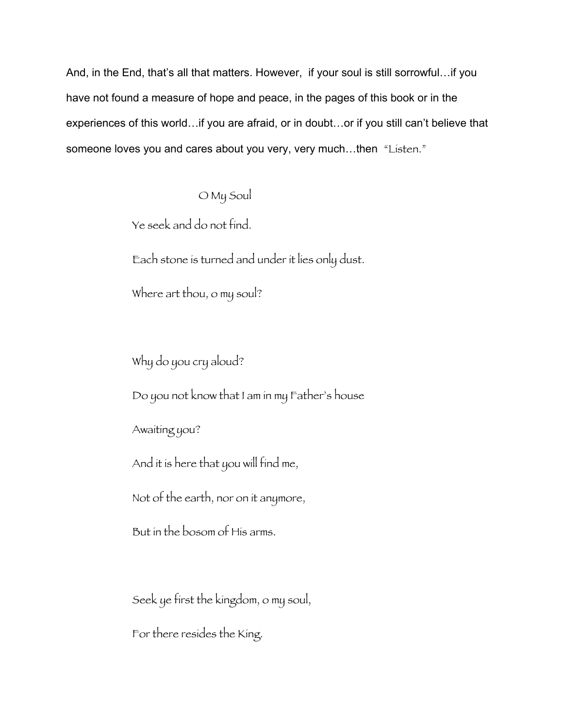And, in the End, that's all that matters. However, if your soul is still sorrowful…if you have not found a measure of hope and peace, in the pages of this book or in the experiences of this world…if you are afraid, or in doubt…or if you still can't believe that someone loves you and cares about you very, very much...then "Listen."

O My Soul

Ye seek and do not find.

Each stone is turned and under it lies only dust.

Where art thou, o my soul?

Why do you cry aloud?

Do you not know that I am in my Father's house

Awaiting you?

And it is here that you will find me,

Not of the earth, nor on it anymore,

But in the bosom of His arms.

Seek ye first the kingdom, o my soul,

For there resides the King.